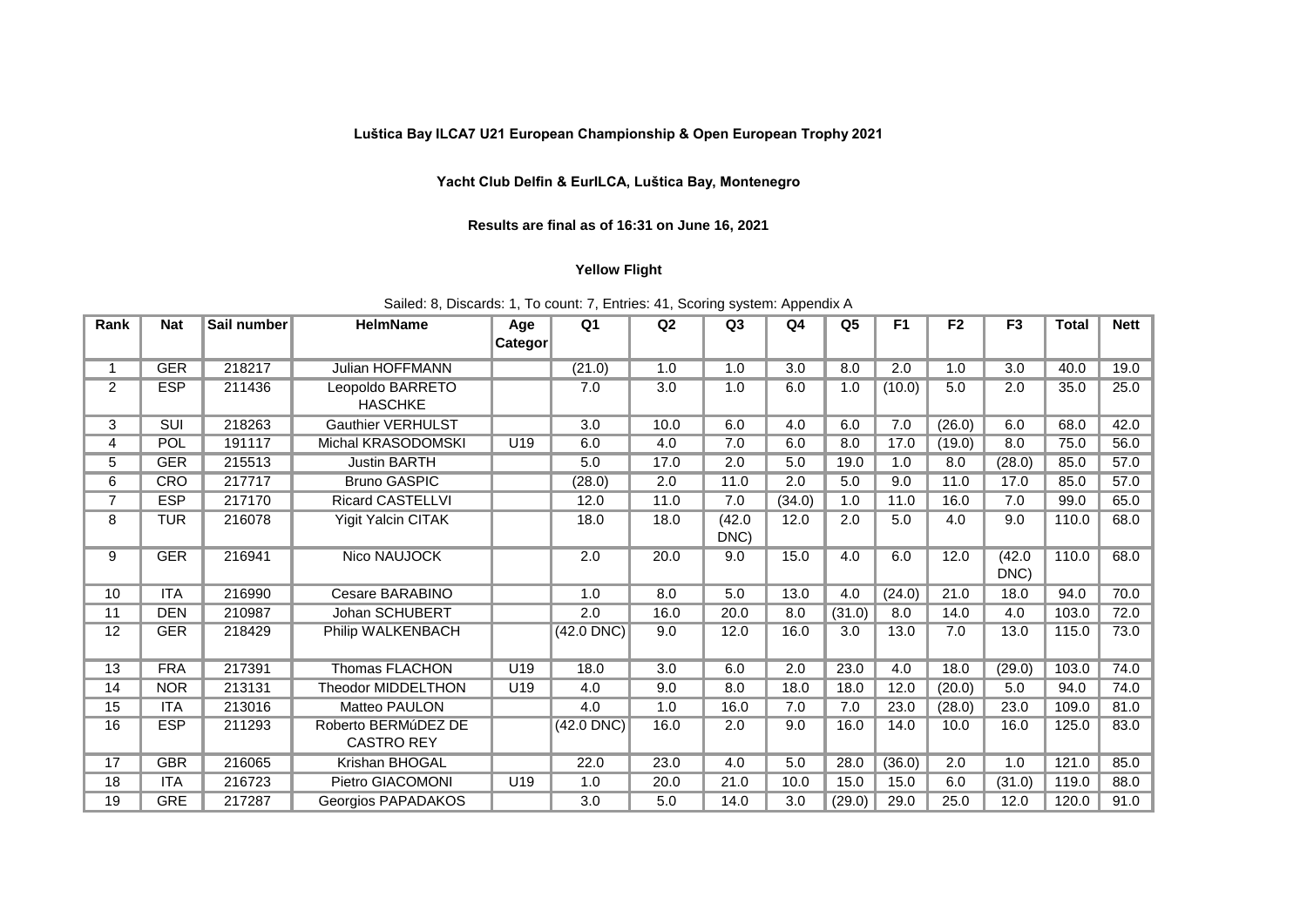## **Luštica Bay ILCA7 U21 European Championship & Open European Trophy 2021**

## **Yacht Club Delfin & EurILCA, Luštica Bay, Montenegro**

## **Results are final as of 16:31 on June 16, 2021**

## **Yellow Flight**

| Sailed: 8, Discards: 1, To count: 7, Entries: 41, Scoring system: Appendix A |  |  |  |  |
|------------------------------------------------------------------------------|--|--|--|--|
|------------------------------------------------------------------------------|--|--|--|--|

| Rank           | <b>Nat</b> | Sail number | <b>HelmName</b>                          | Age             | Q <sub>1</sub> | Q <sub>2</sub> | Q <sub>3</sub> | Q4     | Q <sub>5</sub> | F <sub>1</sub> | F <sub>2</sub> | F <sub>3</sub> | <b>Total</b> | <b>Nett</b> |
|----------------|------------|-------------|------------------------------------------|-----------------|----------------|----------------|----------------|--------|----------------|----------------|----------------|----------------|--------------|-------------|
|                |            |             |                                          | <b>Categor</b>  |                |                |                |        |                |                |                |                |              |             |
| 1              | <b>GER</b> | 218217      | <b>Julian HOFFMANN</b>                   |                 | (21.0)         | 1.0            | 1.0            | 3.0    | 8.0            | 2.0            | 1.0            | 3.0            | 40.0         | 19.0        |
| $\overline{2}$ | <b>ESP</b> | 211436      | Leopoldo BARRETO<br><b>HASCHKE</b>       |                 | 7.0            | 3.0            | 1.0            | 6.0    | 1.0            | (10.0)         | 5.0            | 2.0            | 35.0         | 25.0        |
| 3              | <b>SUI</b> | 218263      | <b>Gauthier VERHULST</b>                 |                 | 3.0            | 10.0           | 6.0            | 4.0    | 6.0            | 7.0            | (26.0)         | 6.0            | 68.0         | 42.0        |
| 4              | POL        | 191117      | Michal KRASODOMSKI                       | U19             | 6.0            | 4.0            | 7.0            | 6.0    | 8.0            | 17.0           | (19.0)         | 8.0            | 75.0         | 56.0        |
| 5              | <b>GER</b> | 215513      | <b>Justin BARTH</b>                      |                 | 5.0            | 17.0           | 2.0            | 5.0    | 19.0           | 1.0            | 8.0            | (28.0)         | 85.0         | 57.0        |
| 6              | <b>CRO</b> | 217717      | <b>Bruno GASPIC</b>                      |                 | (28.0)         | 2.0            | 11.0           | 2.0    | 5.0            | 9.0            | 11.0           | 17.0           | 85.0         | 57.0        |
| 7              | <b>ESP</b> | 217170      | <b>Ricard CASTELLVI</b>                  |                 | 12.0           | 11.0           | 7.0            | (34.0) | 1.0            | 11.0           | 16.0           | 7.0            | 99.0         | 65.0        |
| 8              | <b>TUR</b> | 216078      | <b>Yigit Yalcin CITAK</b>                |                 | 18.0           | 18.0           | (42.0)<br>DNC) | 12.0   | 2.0            | 5.0            | 4.0            | 9.0            | 110.0        | 68.0        |
| 9              | <b>GER</b> | 216941      | Nico NAUJOCK                             |                 | 2.0            | 20.0           | 9.0            | 15.0   | 4.0            | 6.0            | 12.0           | (42.0)<br>DNC) | 110.0        | 68.0        |
| 10             | <b>ITA</b> | 216990      | Cesare BARABINO                          |                 | 1.0            | 8.0            | 5.0            | 13.0   | 4.0            | (24.0)         | 21.0           | 18.0           | 94.0         | 70.0        |
| 11             | <b>DEN</b> | 210987      | Johan SCHUBERT                           |                 | 2.0            | 16.0           | 20.0           | 8.0    | (31.0)         | 8.0            | 14.0           | 4.0            | 103.0        | 72.0        |
| 12             | <b>GER</b> | 218429      | Philip WALKENBACH                        |                 | $(42.0$ DNC)   | 9.0            | 12.0           | 16.0   | 3.0            | 13.0           | 7.0            | 13.0           | 115.0        | 73.0        |
| 13             | <b>FRA</b> | 217391      | <b>Thomas FLACHON</b>                    | U19             | 18.0           | 3.0            | 6.0            | 2.0    | 23.0           | 4.0            | 18.0           | (29.0)         | 103.0        | 74.0        |
| 14             | <b>NOR</b> | 213131      | <b>Theodor MIDDELTHON</b>                | U <sub>19</sub> | 4.0            | 9.0            | 8.0            | 18.0   | 18.0           | 12.0           | (20.0)         | 5.0            | 94.0         | 74.0        |
| 15             | <b>ITA</b> | 213016      | <b>Matteo PAULON</b>                     |                 | 4.0            | 1.0            | 16.0           | 7.0    | 7.0            | 23.0           | (28.0)         | 23.0           | 109.0        | 81.0        |
| 16             | <b>ESP</b> | 211293      | Roberto BERMúDEZ DE<br><b>CASTRO REY</b> |                 | $(42.0$ DNC)   | 16.0           | 2.0            | 9.0    | 16.0           | 14.0           | 10.0           | 16.0           | 125.0        | 83.0        |
| 17             | <b>GBR</b> | 216065      | Krishan BHOGAL                           |                 | 22.0           | 23.0           | 4.0            | 5.0    | 28.0           | (36.0)         | 2.0            | 1.0            | 121.0        | 85.0        |
| 18             | <b>ITA</b> | 216723      | Pietro GIACOMONI                         | U <sub>19</sub> | 1.0            | 20.0           | 21.0           | 10.0   | 15.0           | 15.0           | 6.0            | (31.0)         | 119.0        | 88.0        |
| 19             | <b>GRE</b> | 217287      | Georgios PAPADAKOS                       |                 | 3.0            | 5.0            | 14.0           | 3.0    | (29.0)         | 29.0           | 25.0           | 12.0           | 120.0        | 91.0        |